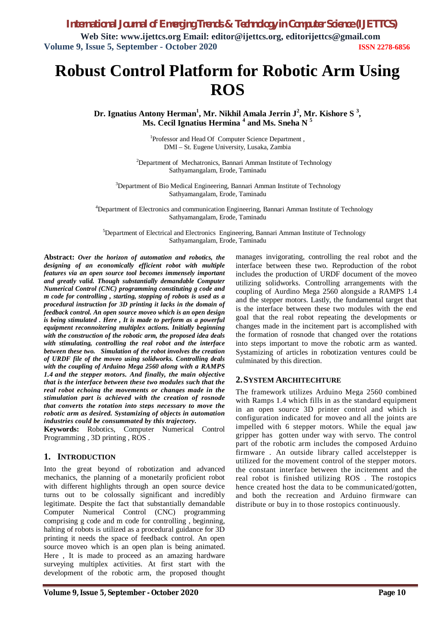# **Robust Control Platform for Robotic Arm Using ROS**

**Dr. Ignatius Antony Herman<sup>1</sup> , Mr. Nikhil Amala Jerrin J<sup>2</sup> , Mr. Kishore S <sup>3</sup> , Ms. Cecil Ignatius Hermina <sup>4</sup> and Ms. Sneha N <sup>5</sup>**

> 1 Professor and Head Of Computer Science Department , DMI – St. Eugene University, Lusaka, Zambia

 $2$ Department of Mechatronics, Bannari Amman Institute of Technology Sathyamangalam, Erode, Taminadu

<sup>3</sup>Department of Bio Medical Engineering, Bannari Amman Institute of Technology Sathyamangalam, Erode, Taminadu

<sup>4</sup>Department of Electronics and communication Engineering, Bannari Amman Institute of Technology Sathyamangalam, Erode, Taminadu

<sup>5</sup>Department of Electrical and Electronics Engineering, Bannari Amman Institute of Technology Sathyamangalam, Erode, Taminadu

**Abstract:** *Over the horizon of automation and robotics, the designing of an economically efficient robot with multiple features via an open source tool becomes immensely important and greatly valid. Though substantially demandable Computer Numerical Control (CNC) programming constituting g code and m code for controlling , starting, stopping of robots is used as a procedural instruction for 3D printing it lacks in the domain of feedback control. An open source moveo which is an open design is being stimulated . Here , It is made to perform as a powerful equipment reconnoitering multiplex actions. Initially beginning with the construction of the robotic arm, the proposed idea deals with stimulating, controlling the real robot and the interface between these two. Simulation of the robot involves the creation of URDF file of the moveo using solidworks. Controlling deals with the coupling of Arduino Mega 2560 along with a RAMPS 1.4 and the stepper motors. And finally, the main objective that is the interface between these two modules such that the real robot echoing the movements or changes made in the stimulation part is achieved with the creation of rosnode that converts the rotation into steps necessary to move the robotic arm as desired. Systamizing of objects in automation industries could be consummated by this trajectory.*

**Keywords:** Robotics, Computer Numerical Control Programming , 3D printing , ROS .

# **1. INTRODUCTION**

Into the great beyond of robotization and advanced mechanics, the planning of a monetarily proficient robot with different highlights through an open source device turns out to be colossally significant and incredibly legitimate. Despite the fact that substantially demandable Computer Numerical Control (CNC) programming comprising g code and m code for controlling , beginning, halting of robots is utilized as a procedural guidance for 3D printing it needs the space of feedback control. An open source moveo which is an open plan is being animated. Here , It is made to proceed as an amazing hardware surveying multiplex activities. At first start with the development of the robotic arm, the proposed thought

manages invigorating, controlling the real robot and the interface between these two. Reproduction of the robot includes the production of URDF document of the moveo utilizing solidworks. Controlling arrangements with the coupling of Aurdino Mega 2560 alongside a RAMPS 1.4 and the stepper motors. Lastly, the fundamental target that is the interface between these two modules with the end goal that the real robot repeating the developments or changes made in the incitement part is accomplished with the formation of rosnode that changed over the rotations into steps important to move the robotic arm as wanted. Systamizing of articles in robotization ventures could be culminated by this direction.

# **2.SYSTEM ARCHITECHTURE**

The framework utilizes Arduino Mega 2560 combined with Ramps 1.4 which fills in as the standard equipment in an open source 3D printer control and which is configuration indicated for moveo and all the joints are impelled with 6 stepper motors. While the equal jaw gripper has gotten under way with servo. The control part of the robotic arm includes the composed Arduino firmware . An outside library called accelstepper is utilized for the movement control of the stepper motors. the constant interface between the incitement and the real robot is finished utilizing ROS . The rostopics hence created host the data to be communicated/gotten, and both the recreation and Arduino firmware can distribute or buy in to those rostopics continuously.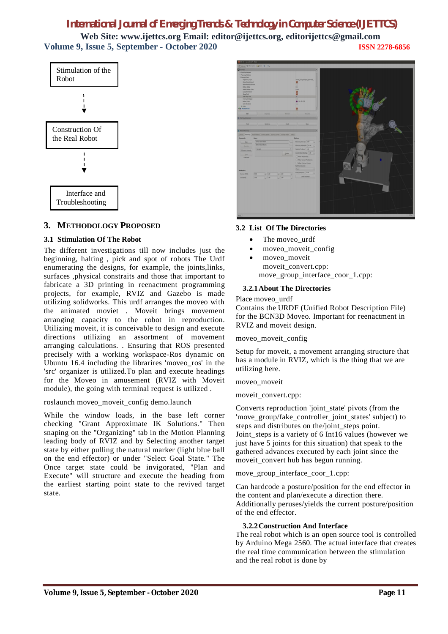# *International Journal of Emerging Trends & Technology in Computer Science (IJETTCS)* **Web Site: www.ijettcs.org Email: editor@ijettcs.org, editorijettcs@gmail.com Volume 9, Issue 5, September - October 2020 ISSN 2278-6856**



# **3. METHODOLOGY PROPOSED**

# **3.1 Stimulation Of The Robot**

The different investigations till now includes just the beginning, halting , pick and spot of robots The Urdf enumerating the designs, for example, the joints,links, surfaces ,physical constraits and those that important to fabricate a 3D printing in reenactment programming projects, for example, RVIZ and Gazebo is made utilizing solidworks. This urdf arranges the moveo with the animated moviet . Moveit brings movement arranging capacity to the robot in reproduction. Utilizing moveit, it is conceivable to design and execute directions utilizing an assortment of movement arranging calculations. . Ensuring that ROS presented precisely with a working workspace-Ros dynamic on Ubuntu 16.4 including the librarires 'moveo\_ros' in the 'src' organizer is utilized.To plan and execute headings for the Moveo in amusement (RVIZ with Moveit module), the going with terminal request is utilized .

roslaunch moveo\_moveit\_config demo.launch

While the window loads, in the base left corner checking "Grant Approximate IK Solutions." Then snaping on the "Organizing" tab in the Motion Planning leading body of RVIZ and by Selecting another target state by either pulling the natural marker (light blue ball on the end effector) or under "Select Goal State." The Once target state could be invigorated, "Plan and Execute" will structure and execute the heading from the earliest starting point state to the revived target state.



# **3.2 List Of The Directories**

- The moveo urdf
- moveo\_moveit\_config
- moveo moveit moveit\_convert.cpp: move group interface coor 1.cpp:

# **3.2.1About The Directories**

#### Place moveo\_urdf

Contains the URDF (Unified Robot Description File) for the BCN3D Moveo. Important for reenactment in RVIZ and moveit design.

#### moveo\_moveit\_config

Setup for moveit, a movement arranging structure that has a module in RVIZ, which is the thing that we are utilizing here.

moveo\_moveit

# moveit\_convert.cpp:

Converts reproduction 'joint\_state' pivots (from the 'move\_group/fake\_controller\_joint\_states' subject) to steps and distributes on the/joint steps point. Joint steps is a variety of 6 Int16 values (however we just have 5 joints for this situation) that speak to the gathered advances executed by each joint since the moveit convert hub has begun running.

move\_group\_interface\_coor\_1.cpp:

Can hardcode a posture/position for the end effector in the content and plan/execute a direction there. Additionally peruses/yields the current posture/position of the end effector.

# **3.2.2Construction And Interface**

The real robot which is an open source tool is controlled by Arduino Mega 2560. The actual interface that creates the real time communication between the stimulation and the real robot is done by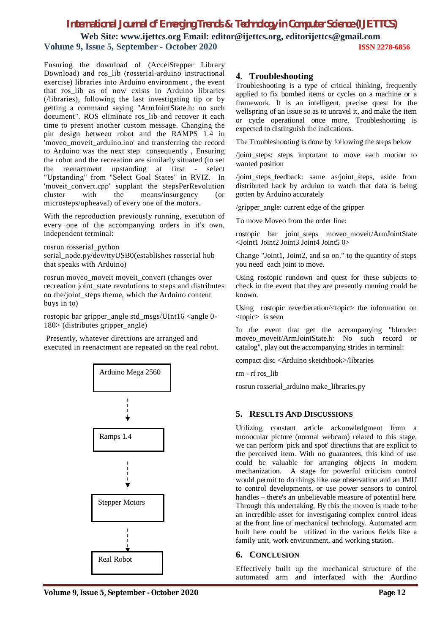# *International Journal of Emerging Trends & Technology in Computer Science (IJETTCS)*

**Web Site: www.ijettcs.org Email: editor@ijettcs.org, editorijettcs@gmail.com Volume 9, Issue 5, September - October 2020 ISSN 2278-6856**

Ensuring the download of (AccelStepper Library Download) and ros lib (rosserial-arduino instructional exercise) libraries into Arduino environment , the event that ros\_lib as of now exists in Arduino libraries (/libraries), following the last investigating tip or by getting a command saying "ArmJointState.h: no such document". ROS eliminate ros\_lib and recover it each time to present another custom message. Changing the pin design between robot and the RAMPS 1.4 in 'moveo\_moveit\_arduino.ino' and transferring the record to Arduino was the next step consequently , Ensuring the robot and the recreation are similarly situated (to set the reenactment upstanding at first - select "Upstanding" from "Select Goal States" in RVIZ. In 'moveit\_convert.cpp' supplant the stepsPerRevolution cluster with the means/insurgency (or microsteps/upheaval) of every one of the motors.

With the reproduction previously running, execution of every one of the accompanying orders in it's own, independent terminal:

rosrun rosserial\_python serial\_node.py/dev/ttyUSB0(establishes rosserial hub that speaks with Arduino)

rosrun moveo\_moveit moveit\_convert (changes over recreation joint state revolutions to steps and distributes on the/joint\_steps theme, which the Arduino content buys in to)

rostopic bar gripper\_angle std\_msgs/UInt16 <angle 0- 180> (distributes gripper\_angle)

Presently, whatever directions are arranged and executed in reenactment are repeated on the real robot.



# **4. Troubleshooting**

Troubleshooting is a type of critical thinking, frequently applied to fix bombed items or cycles on a machine or a framework. It is an intelligent, precise quest for the wellspring of an issue so as to unravel it, and make the item or cycle operational once more. Troubleshooting is expected to distinguish the indications.

The Troubleshooting is done by following the steps below

/joint\_steps: steps important to move each motion to wanted position

/joint\_steps\_feedback: same as/joint\_steps, aside from distributed back by arduino to watch that data is being gotten by Arduino accurately

/gripper\_angle: current edge of the gripper

To move Moveo from the order line:

rostopic bar joint\_steps moveo\_moveit/ArmJointState <Joint1 Joint2 Joint3 Joint4 Joint5 0>

Change "Joint1, Joint2, and so on." to the quantity of steps you need each joint to move.

Using rostopic rundown and quest for these subjects to check in the event that they are presently running could be known.

Using rostopic reverberation/<topic> the information on <topic> is seen

In the event that get the accompanying "blunder: moveo\_moveit/ArmJointState.h: No such record or catalog", play out the accompanying strides in terminal:

compact disc <Arduino sketchbook>/libraries

rm - rf ros\_lib

rosrun rosserial\_arduino make\_libraries.py

# **5. RESULTS AND DISCUSSIONS**

Utilizing constant article acknowledgment from a monocular picture (normal webcam) related to this stage, we can perform 'pick and spot' directions that are explicit to the perceived item. With no guarantees, this kind of use could be valuable for arranging objects in modern mechanization. A stage for powerful criticism control would permit to do things like use observation and an IMU to control developments, or use power sensors to control handles – there's an unbelievable measure of potential here. Through this undertaking, By this the moveo is made to be an incredible asset for investigating complex control ideas at the front line of mechanical technology. Automated arm built here could be utilized in the various fields like a family unit, work environment, and working station.

# **6. CONCLUSION**

Effectively built up the mechanical structure of the automated arm and interfaced with the Aurdino

**Volume 9, Issue 5, September - October 2020 Page 12**